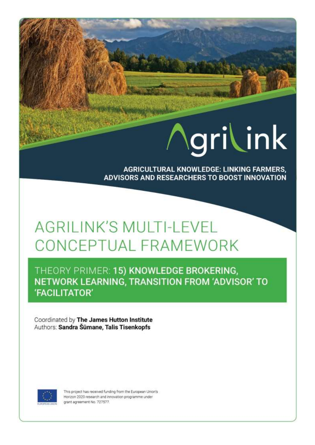# grilink

**AGRICULTURAL KNOWLEDGE: LINKING FARMERS,** ADVISORS AND RESEARCHERS TO BOOST INNOVATION

## **AGRILINK'S MULTI-LEVEL** CONCEPTUAL FRAMEWORK

NY.

THEORY PRIMER: 15) KNOWLEDGE BROKERING, NETWORK LEARNING, TRANSITION FROM 'ADVISOR' TO 'FACILITATOR'

Coordinated by The James Hutton Institute Authors: Sandra Šūmane, Talis Tisenkopfs



This project has received funding from the European Union's Horizon 2020 research and innovation programme under grant agreement No. 727577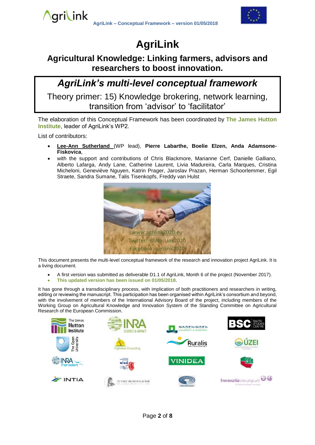

## **AgriLink**

### **Agricultural Knowledge: Linking farmers, advisors and researchers to boost innovation.**

## *AgriLink's multi-level conceptual framework*

Theory primer: 15) Knowledge brokering, network learning, transition from 'advisor' to 'facilitator'

The elaboration of this Conceptual Framework has been coordinated by **The James Hutton Institute**, leader of AgriLink's WP2.

List of contributors:

\ari\ink

- **Lee-Ann Sutherland** (WP lead), **Pierre Labarthe, Boelie Elzen, Anda Adamsone-Fiskovica**,
- with the support and contributions of Chris Blackmore, Marianne Cerf, Danielle Galliano, Alberto Lafarga, Andy Lane, Catherine Laurent, Livia Madureira, Carla Marques, Cristina Micheloni, Geneviève Nguyen, Katrin Prager, Jaroslav Prazan, Herman Schoorlemmer, Egil Straete, Sandra Sumane, Talis Tisenkopfs, Freddy van Hulst



This document presents the multi-level conceptual framework of the research and innovation project AgriLink. It is a living document.

- A first version was submitted as deliverable D1.1 of AgriLink, Month 6 of the project (November 2017).
- **This updated version has been issued on 01/05/2018.**

It has gone through a transdisciplinary process, with implication of both practitioners and researchers in writing, editing or reviewing the manuscript. This participation has been organised within AgriLink's consortium and beyond, with the involvement of members of the International Advisory Board of the project, including members of the Working Group on Agricultural Knowledge and Innovation System of the Standing Committee on Agricultural Research of the European Commission.

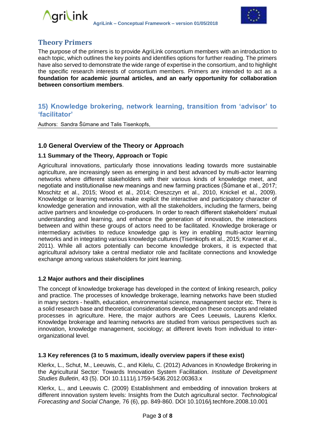



#### **Theory Primers**

The purpose of the primers is to provide AgriLink consortium members with an introduction to each topic, which outlines the key points and identifies options for further reading. The primers have also served to demonstrate the wide range of expertise in the consortium, and to highlight the specific research interests of consortium members. Primers are intended to act as a **foundation for academic journal articles, and an early opportunity for collaboration between consortium members**.

#### **15) Knowledge brokering, network learning, transition from 'advisor' to 'facilitator'**

Authors: Sandra Šūmane and Talis Tisenkopfs,

#### **1.0 General Overview of the Theory or Approach**

#### **1.1 Summary of the Theory, Approach or Topic**

Agricultural innovations, particularly those innovations leading towards more sustainable agriculture, are increasingly seen as emerging in and best advanced by multi-actor learning networks where different stakeholders with their various kinds of knowledge meet, and negotiate and institutionalise new meanings and new farming practices (Šūmane et al., 2017; Moschitz et al., 2015; Wood et al., 2014; Oreszczyn et al., 2010, Knickel et al., 2009). Knowledge or learning networks make explicit the interactive and participatory character of knowledge generation and innovation, with all the stakeholders, including the farmers, being active partners and knowledge co-producers. In order to reach different stakeholders' mutual understanding and learning, and enhance the generation of innovation, the interactions between and within these groups of actors need to be facilitated. Knowledge brokerage or intermediary activities to reduce knowledge gap is key in enabling multi-actor learning networks and in integrating various knowledge cultures (Tisenkopfs et al., 2015; Kramer et al., 2011). While all actors potentially can become knowledge brokers, it is expected that agricultural advisory take a central mediator role and facilitate connections and knowledge exchange among various stakeholders for joint learning.

#### **1.2 Major authors and their disciplines**

The concept of knowledge brokerage has developed in the context of linking research, policy and practice. The processes of knowledge brokerage, learning networks have been studied in many sectors - health, education, environmental science, management sector etc. There is a solid research base and theoretical considerations developed on these concepts and related processes in agriculture. Here, the major authors are Cees Leeuwis, Laurens Klerkx. Knowledge brokerage and learning networks are studied from various perspectives such as innovation, knowledge management, sociology; at different levels from individual to interorganizational level.

#### **1.3 Key references (3 to 5 maximum, ideally overview papers if these exist)**

Klerkx, L., Schut, M., Leeuwis, C., and Kilelu, C. (2012) Advances in Knowledge Brokering in the Agricultural Sector: Towards Innovation System Facilitation. *Institute of Development Studies Bulletin*, 43 (5). DOI 10.1111/j.1759-5436.2012.00363.x

Klerkx, L., and Leeuwis C. (2009) Establishment and embedding of innovation brokers at different innovation system levels: Insights from the Dutch agricultural sector. *Technological Forecasting and Social Change,* 76 (6), pp. 849-860. DOI 10.1016/j.techfore.2008.10.001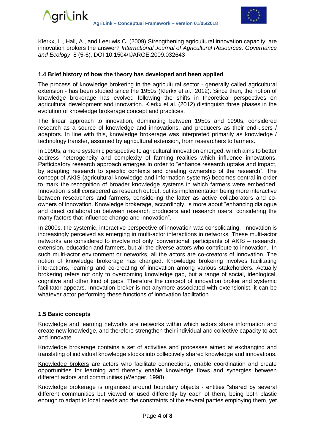

Klerkx, L., Hall, A., and Leeuwis C. (2009) Strengthening agricultural innovation capacity: are innovation brokers the answer? *International Journal of Agricultural Resources, Governance and Ecology*, 8 (5-6), DOI 10.1504/IJARGE.2009.032643

#### **1.4 Brief history of how the theory has developed and been applied**

The process of knowledge brokering in the agricultural sector - generally called agricultural extension - has been studied since the 1950s (Klerkx et al., 2012). Since then, the notion of knowledge brokerage has evolved following the shifts in theoretical perspectives on agricultural development and innovation. Klerkx et al. (2012) distinguish three phases in the evolution of knowledge brokerage concept and practices.

The linear approach to innovation, dominating between 1950s and 1990s, considered research as a source of knowledge and innovations, and producers as their end-users / adaptors. In line with this, knowledge brokerage was interpreted primarily as knowledge / technology transfer, assumed by agricultural extension, from researchers to farmers.

In 1990s, a more systemic perspective to agricultural innovation emerged, which aims to better address heterogeneity and complexity of farming realities which influence innovations. Participatory research approach emerges in order to "enhance research uptake and impact, by adapting research to specific contexts and creating ownership of the research". The concept of AKIS (agricultural knowledge and information systems) becomes central in order to mark the recognition of broader knowledge systems in which farmers were embedded. Innovation is still considered as research output, but its implementation being more interactive between researchers and farmers, considering the latter as active collaborators and coowners of innovation. Knowledge brokerage, accordingly, is more about "enhancing dialogue and direct collaboration between research producers and research users, considering the many factors that influence change and innovation".

In 2000s, the systemic, interactive perspective of innovation was consolidating. Innovation is increasingly perceived as emerging in multi-actor interactions in networks. These multi-actor networks are considered to involve not only 'conventional' participants of AKIS – research, extension, education and farmers, but all the diverse actors who contribute to innovation. In such multi-actor environment or networks, all the actors are co-creators of innovation. The notion of knowledge brokerage has changed. Knowledge brokering involves facilitating interactions, learning and co-creating of innovation among various stakeholders. Actually brokering refers not only to overcoming knowledge gap, but a range of social, ideological, cognitive and other kind of gaps. Therefore the concept of innovation broker and systemic facilitator appears. Innovation broker is not anymore associated with extensionist, it can be whatever actor performing these functions of innovation facilitation.

#### **1.5 Basic concepts**

Knowledge and learning networks are networks within which actors share information and create new knowledge, and therefore strengthen their individual and collective capacity to act and innovate.

Knowledge brokerage contains a set of activities and processes aimed at exchanging and translating of individual knowledge stocks into collectively shared knowledge and innovations.

Knowledge brokers are actors who facilitate connections, enable coordination and create opportunities for learning and thereby enable knowledge flows and synergies between different actors and communities (Wenger, 1998)

Knowledge brokerage is organised around boundary objects - entities "shared by several different communities but viewed or used differently by each of them, being both plastic enough to adapt to local needs and the constraints of the several parties employing them, yet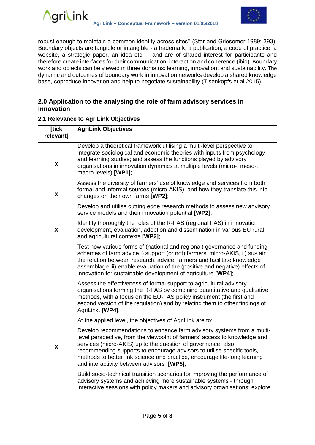



robust enough to maintain a common identity across sites'' (Star and Griesemer 1989: 393). Boundary objects are tangible or intangible - a trademark, a publication, a code of practice, a website, a strategic paper, an idea etc. – and are of shared interest for participants and therefore create interfaces for their communication, interaction and coherence (ibid). Boundary work and objects can be viewed in three domains: learning, innovation, and sustainability. The dynamic and outcomes of boundary work in innovation networks develop a shared knowledge base, coproduce innovation and help to negotiate sustainability (Tisenkopfs et al 2015).

#### **2.0 Application to the analysing the role of farm advisory services in innovation**

#### **2.1 Relevance to AgriLink Objectives**

| [tick<br>relevant] | <b>AgriLink Objectives</b>                                                                                                                                                                                                                                                                                                                                                                                              |
|--------------------|-------------------------------------------------------------------------------------------------------------------------------------------------------------------------------------------------------------------------------------------------------------------------------------------------------------------------------------------------------------------------------------------------------------------------|
| X                  | Develop a theoretical framework utilising a multi-level perspective to<br>integrate sociological and economic theories with inputs from psychology<br>and learning studies; and assess the functions played by advisory<br>organisations in innovation dynamics at multiple levels (micro-, meso-,<br>macro-levels) [WP1];                                                                                              |
| X                  | Assess the diversity of farmers' use of knowledge and services from both<br>formal and informal sources (micro-AKIS), and how they translate this into<br>changes on their own farms [WP2];                                                                                                                                                                                                                             |
|                    | Develop and utilise cutting edge research methods to assess new advisory<br>service models and their innovation potential [WP2];                                                                                                                                                                                                                                                                                        |
| X                  | Identify thoroughly the roles of the R-FAS (regional FAS) in innovation<br>development, evaluation, adoption and dissemination in various EU rural<br>and agricultural contexts [WP2];                                                                                                                                                                                                                                  |
|                    | Test how various forms of (national and regional) governance and funding<br>schemes of farm advice i) support (or not) farmers' micro-AKIS, ii) sustain<br>the relation between research, advice, farmers and facilitate knowledge<br>assemblage iii) enable evaluation of the (positive and negative) effects of<br>innovation for sustainable development of agriculture [WP4];                                       |
|                    | Assess the effectiveness of formal support to agricultural advisory<br>organisations forming the R-FAS by combining quantitative and qualitative<br>methods, with a focus on the EU-FAS policy instrument (the first and<br>second version of the regulation) and by relating them to other findings of<br>AgriLink. [WP4].                                                                                             |
|                    | At the applied level, the objectives of AgriLink are to:                                                                                                                                                                                                                                                                                                                                                                |
| X                  | Develop recommendations to enhance farm advisory systems from a multi-<br>level perspective, from the viewpoint of farmers' access to knowledge and<br>services (micro-AKIS) up to the question of governance, also<br>recommending supports to encourage advisors to utilise specific tools,<br>methods to better link science and practice, encourage life-long learning<br>and interactivity between advisors [WP5]; |
|                    | Build socio-technical transition scenarios for improving the performance of<br>advisory systems and achieving more sustainable systems - through<br>interactive sessions with policy makers and advisory organisations; explore                                                                                                                                                                                         |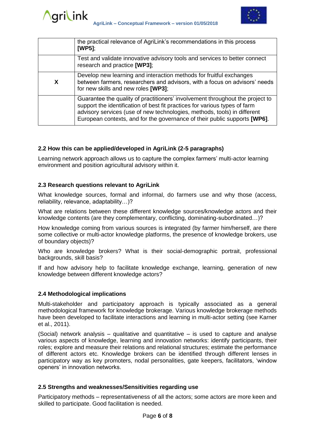

|   | the practical relevance of AgriLink's recommendations in this process<br>[WP5];                                                                                                                                                                                                                                      |
|---|----------------------------------------------------------------------------------------------------------------------------------------------------------------------------------------------------------------------------------------------------------------------------------------------------------------------|
|   | Test and validate innovative advisory tools and services to better connect<br>research and practice [WP3];                                                                                                                                                                                                           |
| X | Develop new learning and interaction methods for fruitful exchanges<br>between farmers, researchers and advisors, with a focus on advisors' needs<br>for new skills and new roles [WP3];                                                                                                                             |
|   | Guarantee the quality of practitioners' involvement throughout the project to<br>support the identification of best fit practices for various types of farm<br>advisory services (use of new technologies, methods, tools) in different<br>European contexts, and for the governance of their public supports [WP6]. |

#### **2.2 How this can be applied/developed in AgriLink (2-5 paragraphs)**

Learning network approach allows us to capture the complex farmers' multi-actor learning environment and position agricultural advisory within it.

#### **2.3 Research questions relevant to AgriLink**

What knowledge sources, formal and informal, do farmers use and why those (access, reliability, relevance, adaptability…)?

What are relations between these different knowledge sources/knowledge actors and their knowledge contents (are they complementary, conflicting, dominating-subordinated…)?

How knowledge coming from various sources is integrated (by farmer him/herself, are there some collective or multi-actor knowledge platforms, the presence of knowledge brokers, use of boundary objects)?

Who are knowledge brokers? What is their social-demographic portrait, professional backgrounds, skill basis?

If and how advisory help to facilitate knowledge exchange, learning, generation of new knowledge between different knowledge actors?

#### **2.4 Methodological implications**

Multi-stakeholder and participatory approach is typically associated as a general methodological framework for knowledge brokerage. Various knowledge brokerage methods have been developed to facilitate interactions and learning in multi-actor setting (see Karner et al., 2011).

(Social) network analysis – qualitative and quantitative – is used to capture and analyse various aspects of knowledge, learning and innovation networks: identify participants, their roles; explore and measure their relations and relational structures; estimate the performance of different actors etc. Knowledge brokers can be identified through different lenses in participatory way as key promoters, nodal personalities, gate keepers, facilitators, 'window openers' in innovation networks.

#### **2.5 Strengths and weaknesses/Sensitivities regarding use**

Participatory methods – representativeness of all the actors; some actors are more keen and skilled to participate. Good facilitation is needed.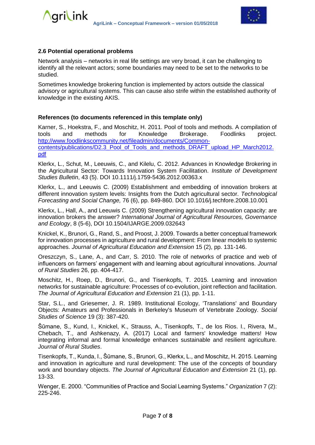

#### **2.6 Potential operational problems**

Network analysis – networks in real life settings are very broad, it can be challenging to identify all the relevant actors; some boundaries may need to be set to the networks to be studied.

Sometimes knowledge brokering function is implemented by actors outside the classical advisory or agricultural systems. This can cause also strife within the established authority of knowledge in the existing AKIS.

#### **References (to documents referenced in this template only)**

Karner, S., Hoekstra, F., and Moschitz, H. 2011. Pool of tools and methods. A compilation of tools and methods for Knowledge Brokerage. Foodlinks project. [http://www.foodlinkscommunity.net/fileadmin/documents/Common](http://www.foodlinkscommunity.net/fileadmin/documents/Common-contents/publications/D2.3_Pool_of_Tools_and_methods_DRAFT_upload_HP_March2012.pdf)[contents/publications/D2.3\\_Pool\\_of\\_Tools\\_and\\_methods\\_DRAFT\\_upload\\_HP\\_March2012.](http://www.foodlinkscommunity.net/fileadmin/documents/Common-contents/publications/D2.3_Pool_of_Tools_and_methods_DRAFT_upload_HP_March2012.pdf) [pdf](http://www.foodlinkscommunity.net/fileadmin/documents/Common-contents/publications/D2.3_Pool_of_Tools_and_methods_DRAFT_upload_HP_March2012.pdf) 

Klerkx, L., Schut, M., Leeuwis, C., and Kilelu, C. 2012. Advances in Knowledge Brokering in the Agricultural Sector: Towards Innovation System Facilitation. *Institute of Development Studies Bulletin*, 43 (5). DOI 10.1111/j.1759-5436.2012.00363.x

Klerkx, L., and Leeuwis C. (2009) Establishment and embedding of innovation brokers at different innovation system levels: Insights from the Dutch agricultural sector. *Technological Forecasting and Social Change,* 76 (6), pp. 849-860. DOI 10.1016/j.techfore.2008.10.001

Klerkx, L., Hall, A., and Leeuwis C. (2009) Strengthening agricultural innovation capacity: are innovation brokers the answer? *International Journal of Agricultural Resources, Governance and Ecology*, 8 (5-6), DOI 10.1504/IJARGE.2009.032643

Knickel, K., Brunori, G., Rand, S., and Proost, J. 2009. Towards a better conceptual framework for innovation processes in agriculture and rural development: From linear models to systemic approaches. *Journal of Agricultural Education and Extension* 15 (2), pp. 131-146.

Oreszczyn, S., Lane, A., and Carr, S. 2010. The role of networks of practice and web of influencers on farmers' engagement with and learning about agricultural innovations. *Journal of Rural Studies* 26, pp. 404-417.

Moschitz, H., Roep, D., Brunori, G., and Tisenkopfs, T. 2015. Learning and innovation networks for sustainable agriculture: Processes of co-evolution, joint reflection and facilitation. *The Journal of Agricultural Education and Extension* 21 (1), pp. 1-11.

Star, S.L., and Griesemer, J. R. 1989. Institutional Ecology, 'Translations' and Boundary Objects: Amateurs and Professionals in Berkeley's Museum of Vertebrate Zoology. *Social Studies of Science* 19 (3): 387-420.

Šūmane, S., Kund, I., Knickel, K., Strauss, A., Tisenkopfs, T., de los Rios. I., Rivera, M., Chebach, T., and Ashkenazy, A. (2017) Local and farmers' knowledge matters! How integrating informal and formal knowledge enhances sustainable and resilient agriculture. *Journal of Rural Studies*.

Tisenkopfs, T., Kunda, I., Šūmane, S., Brunori, G., Klerkx, L., and Moschitz, H. 2015. Learning and innovation in agriculture and rural development: The use of the concepts of boundary work and boundary objects. *The Journal of Agricultural Education and Extension* 21 (1), pp. 13-33.

Wenger, E. 2000. "Communities of Practice and Social Learning Systems." *Organization* 7 (2): 225-246.